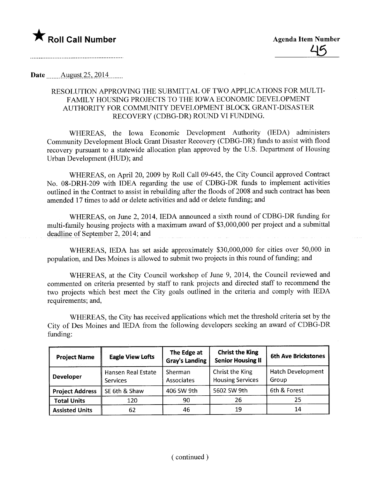

Date \_\_\_\_\_ August 25, 2014

## RESOLUTION APPROVING THE SUBMITTAL OF TWO APPLICATIONS FOR MULTI-FAMILY HOUSING PROJECTS TO THE IOWA ECONOMIC DEVELOPMENT AUTHORITY FOR COMMUNITY DEVELOPMENT BLOCK GRANT-DISASTER RECOVERY (CDBG-DR) ROUND VI FUNDING.

WHEREAS, the Iowa Economic Development Authority (IEDA) administers Community Development Block Grant Disaster Recovery (CDBG-DR) funds to assist with flood recovery pursuant to a statewide allocation plan approved by the U.S. Department of Housing Urban Development (HUD); and

WHEREAS, on April 20, 2009 by Roll Call 09-645, the City Council approved Contract No. 08-DRH-209 with IDEA regarding the use of CDBG-DR fuds to implement activities outlined in the Contract to assist in rebuilding after the floods of 2008 and such contract has been amended 17 times to add or delete activities and add or delete funding; and

WHEREAS, on June 2, 2014, IEDA announced a sixth round of CDBG-DR fuding for multi-family housing projects with a maximum award of \$3,000,000 per project and a submittal deadline of September 2, 2014; and

WHEREAS, IEDA has set aside approximately \$30,000,000 for cities over 50,000 in population, and Des Moines is allowed to submit two projects in this round of fuding; and

WHEREAS, at the City Council workshop of June 9, 2014, the Council reviewed and commented on criteria presented by staff to rank projects and directed staff to recommend the two projects which best meet the City goals outlined in the criteria and comply with IEDA requirements; and,

WHEREAS, the City has received applications which met the threshold criteria set by the City of Des Moines and IEDA from the following developers seeking an award of CDBG-DR funding:

| <b>Project Name</b>    | <b>Eagle View Lofts</b>               | The Edge at<br><b>Gray's Landing</b> | <b>Christ the King</b><br><b>Senior Housing II</b> | <b>6th Ave Brickstones</b>        |
|------------------------|---------------------------------------|--------------------------------------|----------------------------------------------------|-----------------------------------|
| <b>Developer</b>       | <b>Hansen Real Estate</b><br>Services | Sherman<br>Associates                | Christ the King<br><b>Housing Services</b>         | <b>Hatch Development</b><br>Group |
| <b>Project Address</b> | SE 6th & Shaw                         | 406 SW 9th                           | 5602 SW 9th                                        | 6th & Forest                      |
| <b>Total Units</b>     | 120                                   | 90                                   | 26                                                 | 25                                |
| <b>Assisted Units</b>  | 62                                    | 46                                   | 19                                                 | 14                                |